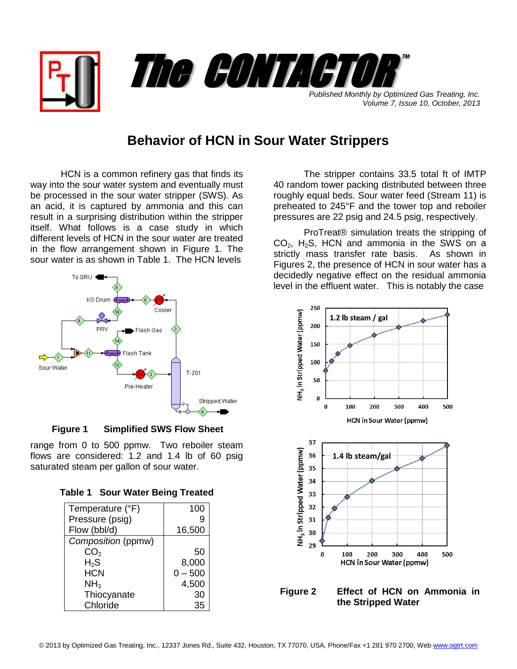

*Volume 7, Issue 10, October, 2013*

## **Behavior of HCN in Sour Water Strippers**

HCN is a common refinery gas that finds its way into the sour water system and eventually must be processed in the sour water stripper (SWS). As an acid, it is captured by ammonia and this can result in a surprising distribution within the stripper itself. What follows is a case study in which different levels of HCN in the sour water are treated in the flow arrangement shown in Figure 1. The sour water is as shown in Table 1. The HCN levels



 **Figure 1 Simplified SWS Flow Sheet**

range from 0 to 500 ppmw. Two reboiler steam flows are considered: 1.2 and 1.4 lb of 60 psig saturated steam per gallon of sour water.

| <b>Table 1 Sour Water Being Treated</b> |  |  |
|-----------------------------------------|--|--|
|                                         |  |  |

| Temperature (°F)   | 100       |
|--------------------|-----------|
| Pressure (psig)    | 9         |
| Flow (bbl/d)       | 16,500    |
| Composition (ppmw) |           |
| CO <sub>2</sub>    | 50        |
| $H_2S$             | 8,000     |
| <b>HCN</b>         | $0 - 500$ |
| NH <sub>3</sub>    | 4,500     |
| Thiocyanate        | 30        |
| Chloride           | 35        |

The stripper contains 33.5 total ft of IMTP 40 random tower packing distributed between three roughly equal beds. Sour water feed (Stream 11) is preheated to 245°F and the tower top and reboiler pressures are 22 psig and 24.5 psig, respectively.

ProTreat® simulation treats the stripping of  $CO<sub>2</sub>$ , H<sub>2</sub>S, HCN and ammonia in the SWS on a strictly mass transfer rate basis. As shown in Figures 2, the presence of HCN in sour water has a decidedly negative effect on the residual ammonia level in the effluent water. This is notably the case



**Figure 2 Effect of HCN on Ammonia in the Stripped Water**